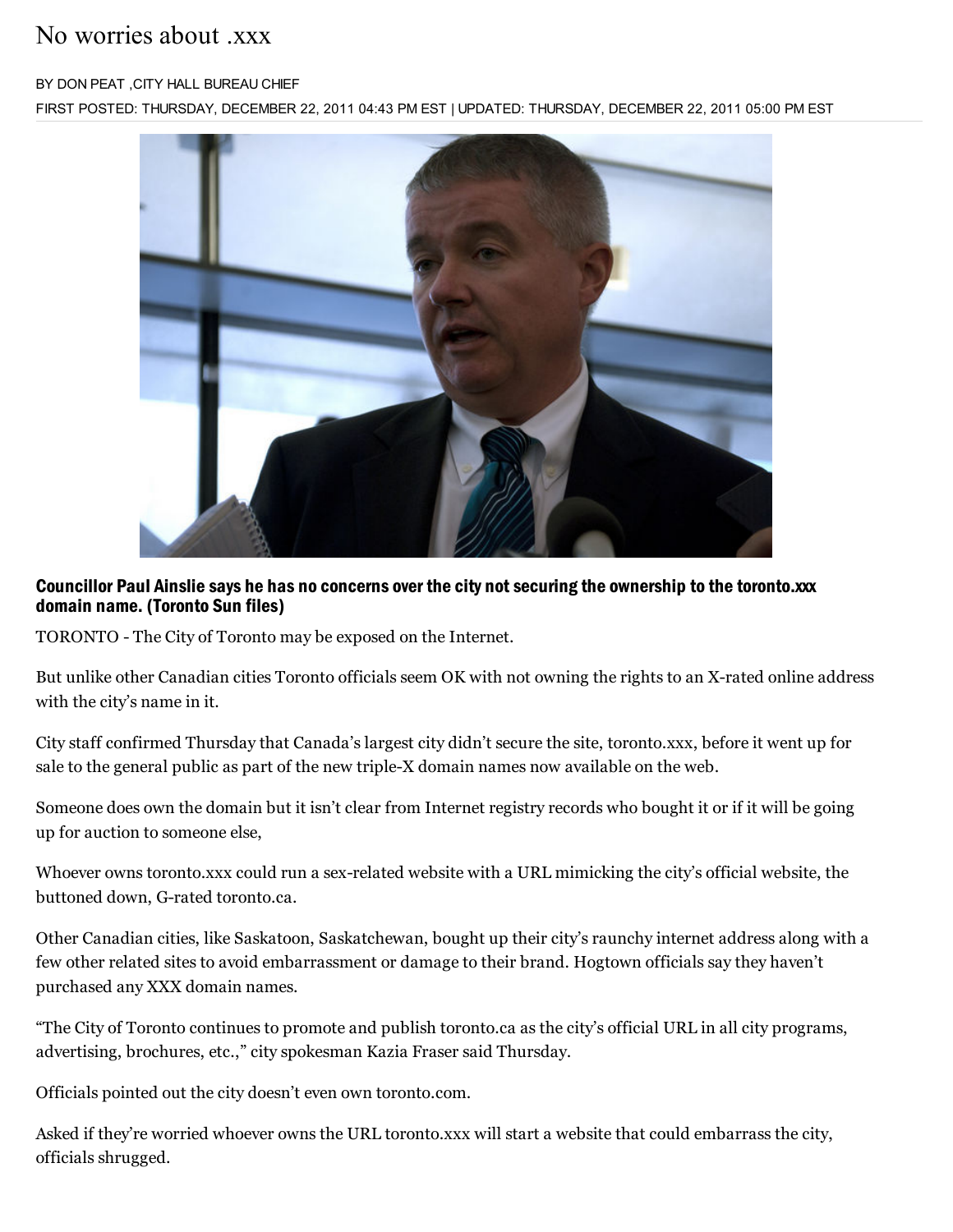## No worries about xxx

#### BY DON PEAT ,CITY HALL BUREAU CHIEF

FIRST POSTED: THURSDAY, DECEMBER 22, 2011 04:43 PM EST | UPDATED: THURSDAY, DECEMBER 22, 2011 05:00 PM EST



### Councillor Paul Ainslie says he has no concerns over the city not securing the ownership to the toronto.xxx domain name. (Toronto Sun files)

TORONTO - The City of Toronto may be exposed on the Internet.

But unlike other Canadian cities Toronto officials seem OK with not owning the rights to an X-rated online address with the city's name in it.

City staff confirmed Thursday that Canada's largest city didn't secure the site, toronto.xxx, before it went up for sale to the general public as part of the new triple-X domain names now available on the web.

Someone does own the domain but it isn't clear from Internet registry records who bought it or if it will be going up for auction to someone else,

Whoever owns toronto.xxx could run a sex-related website with a URL mimicking the city's official website, the buttoned down, G-rated toronto.ca.

Other Canadian cities, like Saskatoon, Saskatchewan, bought up their city's raunchy internet address along with a few other related sites to avoid embarrassment or damage to their brand. Hogtown officials say they haven't purchased any XXX domain names.

"The City of Toronto continues to promote and publish toronto.ca as the city's official URL in all city programs, advertising, brochures, etc.," city spokesman Kazia Fraser said Thursday.

Officials pointed out the city doesn't even own toronto.com.

Asked if they're worried whoever owns the URL toronto.xxx will start a website that could embarrass the city, officials shrugged.